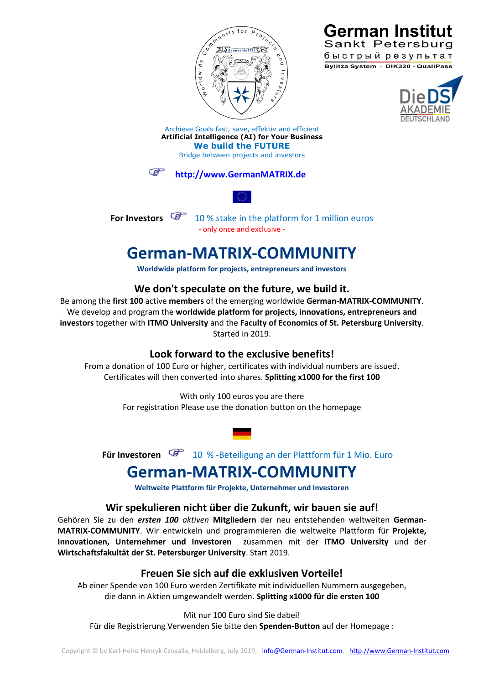



Sankt Petersburg быстрый результат Bylitza System · DIK320 - QualiPass

Archieve Goals fast, save, effektiv and efficient **Artificial Intelligence (AI) for Your Business We build the FUTURE** Bridge between projects and investors

#### **[http://www.GermanMATRIX.de](http://www.germanmatrix.de/)**



**For Investors**  $\begin{bmatrix} 1 & 10 & 10 \\ 0 & 0 & 10 \end{bmatrix}$  in the platform for 1 million euros - only once and exclusive -

## **German-MATRIX-COMMUNITY**

**Worldwide platform for projects, entrepreneurs and investors**

### **We don't speculate on the future, we build it.**

Be among the **first 100** active **members** of the emerging worldwide **German-MATRIX-COMMUNITY**. We develop and program the **worldwide platform for projects, innovations, entrepreneurs and investors** together with **ITMO University** and the **Faculty of Economics of St. Petersburg University**. Started in 2019.

#### **Look forward to the exclusive benefits!**

From a donation of 100 Euro or higher, certificates with individual numbers are issued. Certificates will then converted into shares. **Splitting x1000 for the first 100**

> With only 100 euros you are there For registration Please use the donation button on the homepage

**Für Investoren**  $\mathbb{F}$  10 % -Beteiligung an der Plattform für 1 Mio. Euro

# **German-MATRIX-COMMUNITY**

**Weltweite Plattform für Projekte, Unternehmer und Investoren**

#### **Wir spekulieren nicht über die Zukunft, wir bauen sie auf!**

Gehören Sie zu den *ersten 100 aktiven* **Mitgliedern** der neu entstehenden weltweiten **German-MATRIX-COMMUNITY**. Wir entwickeln und programmieren die weltweite Plattform für **Projekte, Innovationen, Unternehmer und Investoren** zusammen mit der **ITMO University** und der **Wirtschaftsfakultät der St. Petersburger University**. Start 2019.

#### **Freuen Sie sich auf die exklusiven Vorteile!**

Ab einer Spende von 100 Euro werden Zertifikate mit individuellen Nummern ausgegeben, die dann in Aktien umgewandelt werden. **Splitting x1000 für die ersten 100**

Mit nur 100 Euro sind Sie dabei!

Für die Registrierung Verwenden Sie bitte den **Spenden-Button** auf der Homepage :